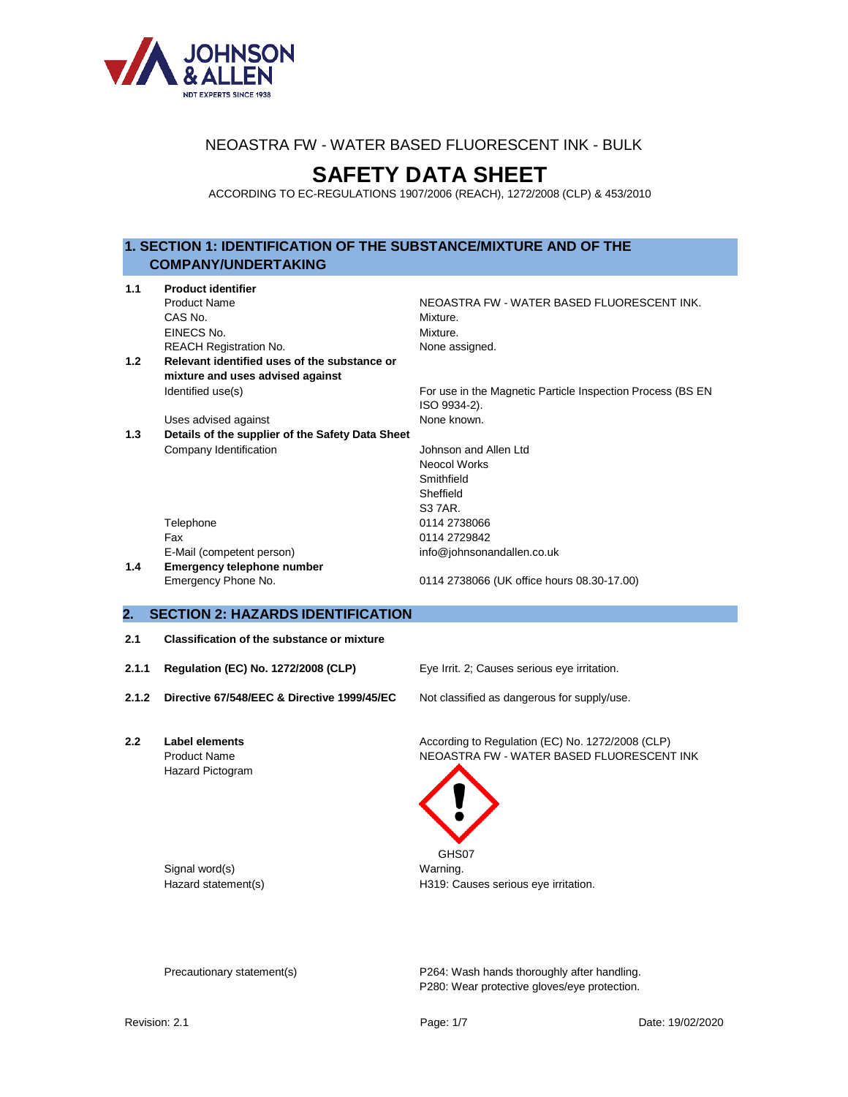

# **SAFETY DATA SHEET**

ACCORDING TO EC-REGULATIONS 1907/2006 (REACH), 1272/2008 (CLP) & 453/2010

# **1. SECTION 1: IDENTIFICATION OF THE SUBSTANCE/MIXTURE AND OF THE COMPANY/UNDERTAKING**

| 1.1 | <b>Product identifier</b>                        |                                                                            |  |  |  |
|-----|--------------------------------------------------|----------------------------------------------------------------------------|--|--|--|
|     | <b>Product Name</b>                              | NEOASTRA FW - WATER BASED FLUORESCENT INK.                                 |  |  |  |
|     | CAS No.                                          | Mixture.                                                                   |  |  |  |
|     | EINECS No.                                       | Mixture.                                                                   |  |  |  |
|     | <b>REACH Registration No.</b>                    | None assigned.                                                             |  |  |  |
| 1.2 | Relevant identified uses of the substance or     |                                                                            |  |  |  |
|     | mixture and uses advised against                 |                                                                            |  |  |  |
|     | Identified use(s)                                | For use in the Magnetic Particle Inspection Process (BS EN<br>ISO 9934-2). |  |  |  |
|     | Uses advised against                             | None known.                                                                |  |  |  |
| 1.3 | Details of the supplier of the Safety Data Sheet |                                                                            |  |  |  |
|     | Company Identification                           | Johnson and Allen Ltd                                                      |  |  |  |
|     |                                                  | <b>Neocol Works</b>                                                        |  |  |  |
|     |                                                  | Smithfield                                                                 |  |  |  |
|     |                                                  | Sheffield                                                                  |  |  |  |
|     |                                                  | S3 7AR.                                                                    |  |  |  |
|     | Telephone                                        | 0114 2738066                                                               |  |  |  |
|     | Fax                                              | 0114 2729842                                                               |  |  |  |
|     | E-Mail (competent person)                        | info@johnsonandallen.co.uk                                                 |  |  |  |
| 1.4 | <b>Emergency telephone number</b>                |                                                                            |  |  |  |
|     | Emergency Phone No.                              | 0114 2738066 (UK office hours 08.30-17.00)                                 |  |  |  |

# **2. SECTION 2: HAZARDS IDENTIFICATION**

- **2.1 Classification of the substance or mixture**
- **2.1.1 Regulation (EC) No. 1272/2008 (CLP)** Eye Irrit. 2; Causes serious eye irritation.
- 

2.1.2 **Directive 67/548/EEC & Directive 1999/45/EC** Not classified as dangerous for supply/use.

Hazard Pictogram

Signal word(s) example a set of the Marning.

**2.2 Label elements** According to Regulation (EC) No. 1272/2008 (CLP) Product Name **NEOASTRA FW - WATER BASED FLUORESCENT INK** 



GHS07 Hazard statement(s) H319: Causes serious eye irritation.

Precautionary statement(s) P264: Wash hands thoroughly after handling. P280: Wear protective gloves/eye protection.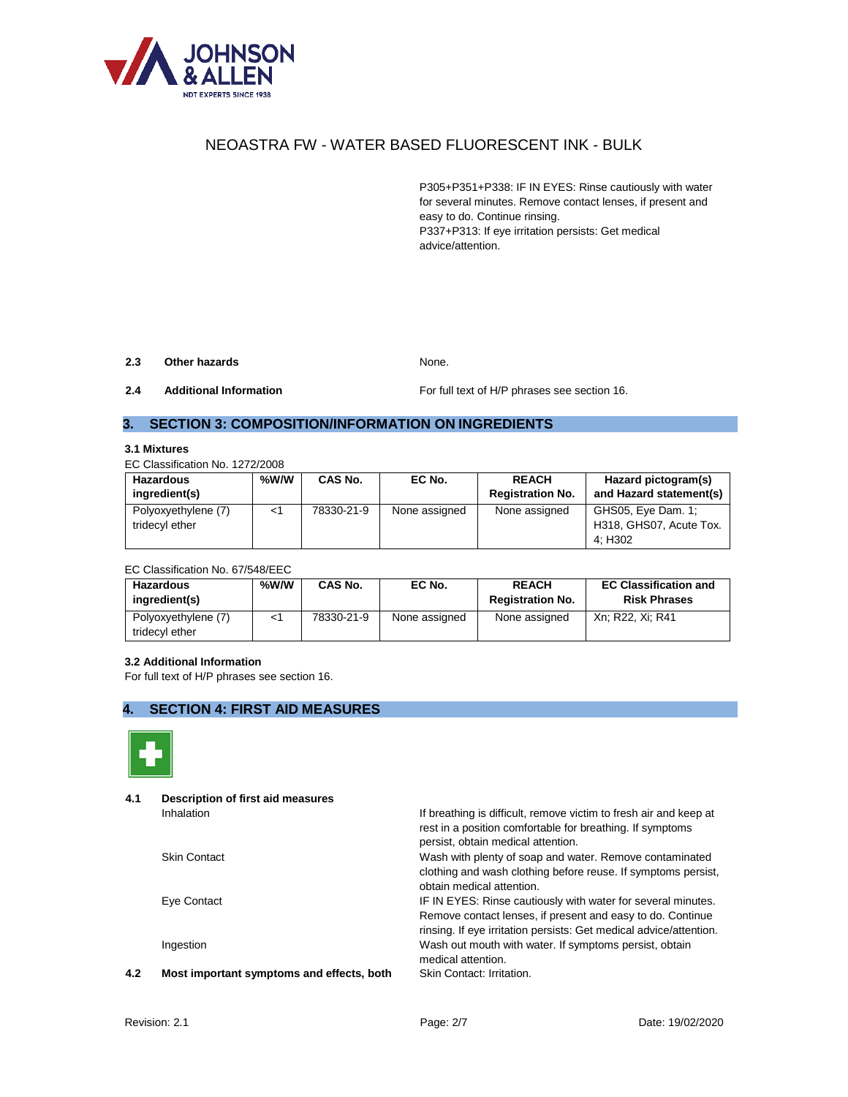

P305+P351+P338: IF IN EYES: Rinse cautiously with water for several minutes. Remove contact lenses, if present and easy to do. Continue rinsing. P337+P313: If eye irritation persists: Get medical advice/attention.

#### **2.3 Other hazards** None.

**2.4 Additional Information For full text of H/P phrases see section 16.** 

# **3. SECTION 3: COMPOSITION/INFORMATION ON INGREDIENTS**

#### **3.1 Mixtures**

EC Classification No. 1272/2008

| Hazardous<br>ingredient(s)            | %W/W  | CAS No.    | EC No.        | <b>REACH</b><br><b>Registration No.</b> | Hazard pictogram(s)<br>and Hazard statement(s)           |
|---------------------------------------|-------|------------|---------------|-----------------------------------------|----------------------------------------------------------|
| Polyoxyethylene (7)<br>tridecyl ether | $<$ 1 | 78330-21-9 | None assigned | None assigned                           | GHS05, Eye Dam. 1;<br>H318, GHS07, Acute Tox.<br>4: H302 |

#### EC Classification No. 67/548/EEC

| <b>Hazardous</b><br>ingredient(s)     | %W/W | CAS No.    | EC No.        | <b>REACH</b><br><b>Registration No.</b> | <b>EC Classification and</b><br><b>Risk Phrases</b> |
|---------------------------------------|------|------------|---------------|-----------------------------------------|-----------------------------------------------------|
| Polyoxyethylene (7)<br>tridecyl ether |      | 78330-21-9 | None assigned | None assigned                           | Xn: R22, Xi: R41                                    |

#### **3.2 Additional Information**

For full text of H/P phrases see section 16.

# **4. SECTION 4: FIRST AID MEASURES**



**4.1 Description of first aid measures**

Inhalation Inhalation Intervention If breathing is difficult, remove victim to fresh air and keep at rest in a position comfortable for breathing. If symptoms persist, obtain medical attention.

Skin Contact Wash with plenty of soap and water. Remove contaminated clothing and wash clothing before reuse. If symptoms persist, obtain medical attention.

Eye Contact IF IN EYES: Rinse cautiously with water for several minutes. Remove contact lenses, if present and easy to do. Continue rinsing. If eye irritation persists: Get medical advice/attention. Ingestion Wash out mouth with water. If symptoms persist, obtain medical attention.

**4.2 Most important symptoms and effects, both** Skin Contact: Irritation.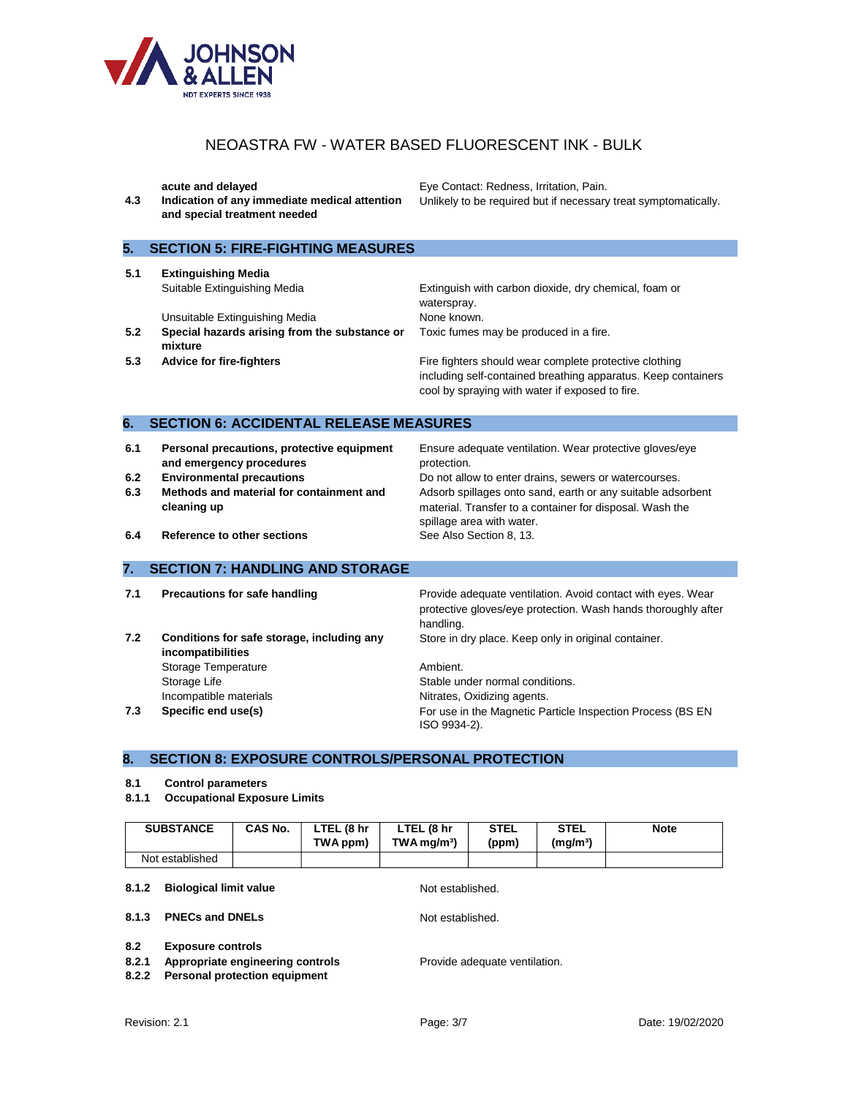

**4.3 Indication of any immediate medical attention and special treatment needed**

**acute and delayed <b>Eye Contact: Redness, Irritation**, Pain. Unlikely to be required but if necessary treat symptomatically.

# **5. SECTION 5: FIRE-FIGHTING MEASURES**

**5.1 Extinguishing Media**

Unsuitable Extinguishing Media None known.

- **5.2 Special hazards arising from the substance or mixture**
- 

Suitable Extinguishing Media Extinguish with carbon dioxide, dry chemical, foam or waterspray. Toxic fumes may be produced in a fire.

**5.3 Advice for fire-fighters Fire fighters** Fire fighters should wear complete protective clothing including self-contained breathing apparatus. Keep containers cool by spraying with water if exposed to fire.

### **6. SECTION 6: ACCIDENTAL RELEASE MEASURES**

- **6.1 Personal precautions, protective equipment and emergency procedures**
- 
- **6.3 Methods and material for containment and cleaning up**

Ensure adequate ventilation. Wear protective gloves/eye protection.

**6.2 Environmental precautions Do not allow to enter drains, sewers or watercourses.** Adsorb spillages onto sand, earth or any suitable adsorbent material. Transfer to a container for disposal. Wash the spillage area with water.<br>See Also Section 8, 13.

**6.4** Reference to other sections

### **7. SECTION 7: HANDLING AND STORAGE**

**7.2 Conditions for safe storage, including any incompatibilities** Storage Temperature **Ambient.** Storage Life Stable under normal conditions. Incompatible materials **Nitrates**, Oxidizing agents.

**7.1 Precautions for safe handling <b>Provide** adequate ventilation. Avoid contact with eyes. Wear protective gloves/eye protection. Wash hands thoroughly after handling. Store in dry place. Keep only in original container.

**7.3 Specific end use(s)** For use in the Magnetic Particle Inspection Process (BS EN ISO 9934-2).

### **8. SECTION 8: EXPOSURE CONTROLS/PERSONAL PROTECTION**

#### **8.1 Control parameters**

**8.1.1 Occupational Exposure Limits**

|                                 | <b>SUBSTANCE</b>                                                                                     | CAS No. | LTEL (8 hr<br>TWA ppm) | LTEL (8 hr<br>$TWA$ mg/m <sup>3</sup> ) | <b>STEL</b><br>(ppm)          | <b>STEL</b><br>(mg/m <sup>3</sup> ) | <b>Note</b> |
|---------------------------------|------------------------------------------------------------------------------------------------------|---------|------------------------|-----------------------------------------|-------------------------------|-------------------------------------|-------------|
|                                 | Not established                                                                                      |         |                        |                                         |                               |                                     |             |
| 8.1.2                           | <b>Biological limit value</b>                                                                        |         |                        | Not established.                        |                               |                                     |             |
| 8.1.3<br><b>PNECs and DNELs</b> |                                                                                                      |         |                        | Not established.                        |                               |                                     |             |
| 8.2<br>8.2.1<br>8.2.2           | <b>Exposure controls</b><br>Appropriate engineering controls<br><b>Personal protection equipment</b> |         |                        |                                         | Provide adequate ventilation. |                                     |             |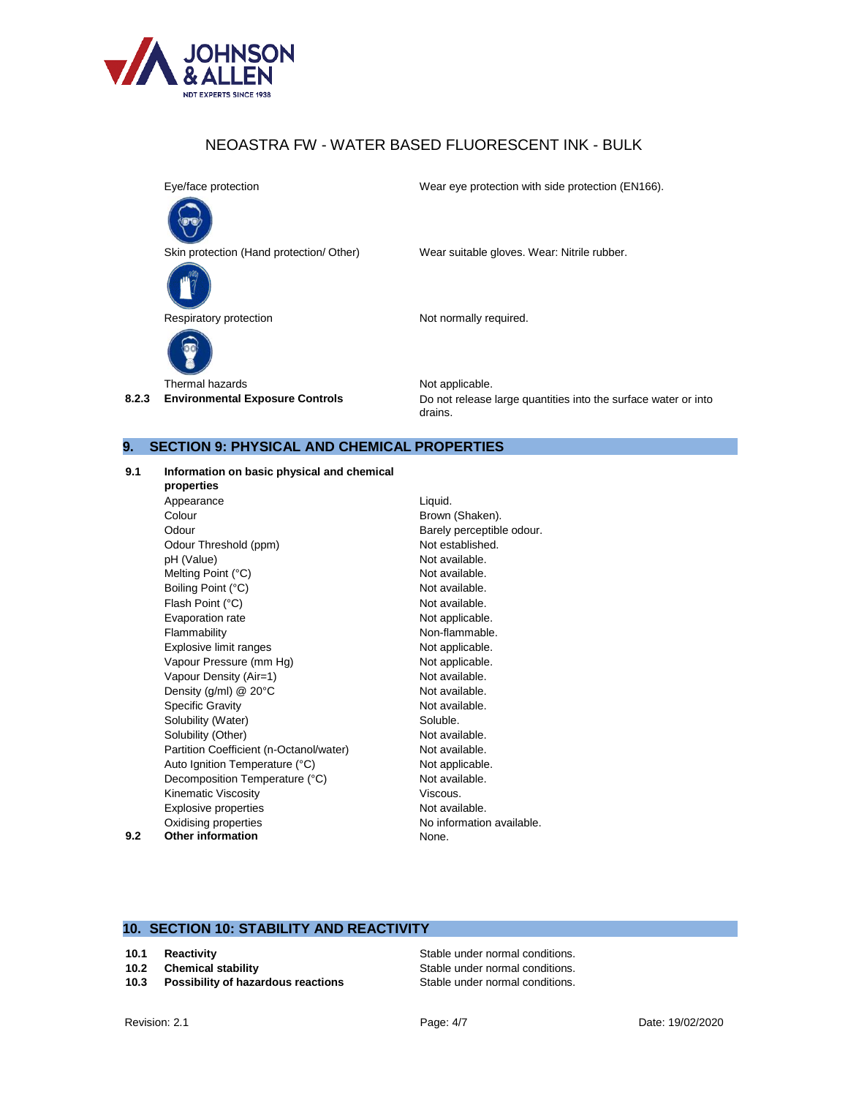

Eye/face protection Wear eye protection with side protection (EN166).



Skin protection (Hand protection/ Other) Wear suitable gloves. Wear: Nitrile rubber.



Respiratory protection Not normally required.



Thermal hazards Not applicable.

**8.2.3 Environmental Exposure Controls** Do not release large quantities into the surface water or into drains.

#### **9. SECTION 9: PHYSICAL AND CHEMICAL PROPERTIES**

#### **9.1 Information on basic physical and chemical**

**properties** Appearance Liquid. Colour Brown (Shaken). Odour **Barely perceptible odour.** Odour Threshold (ppm) Not established. pH (Value) <br>
Mot available.<br>
Mot available. Not available. Melting Point (°C) Boiling Point (°C) and the control of the Not available. Flash Point (°C) and the control of the Not available. Evaporation rate **Not applicable.** Flammability **Non-flammable.** Explosive limit ranges Not applicable. Vapour Pressure (mm Hg) Not applicable. Vapour Density (Air=1) Not available. Density  $(g/ml) @ 20°C$  Not available. Specific Gravity **Not available.** Solubility (Water) Soluble. Solubility (Other) Not available. Partition Coefficient (n-Octanol/water) Not available. Auto Ignition Temperature (°C) Not applicable. Decomposition Temperature (°C) Not available. Kinematic Viscosity **Viscous.** Explosive properties Not available. Oxidising properties No information available. **9.2 Other information** None.

# **10. SECTION 10: STABILITY AND REACTIVITY**

- 
- 10.3 Possibility of hazardous reactions Stable under normal conditions.

**10.1 Reactivity Reactivity Reactivity Stable under normal conditions. 10.2 Chemical stability 10.2 Chemical stability Stable under normal conditions.**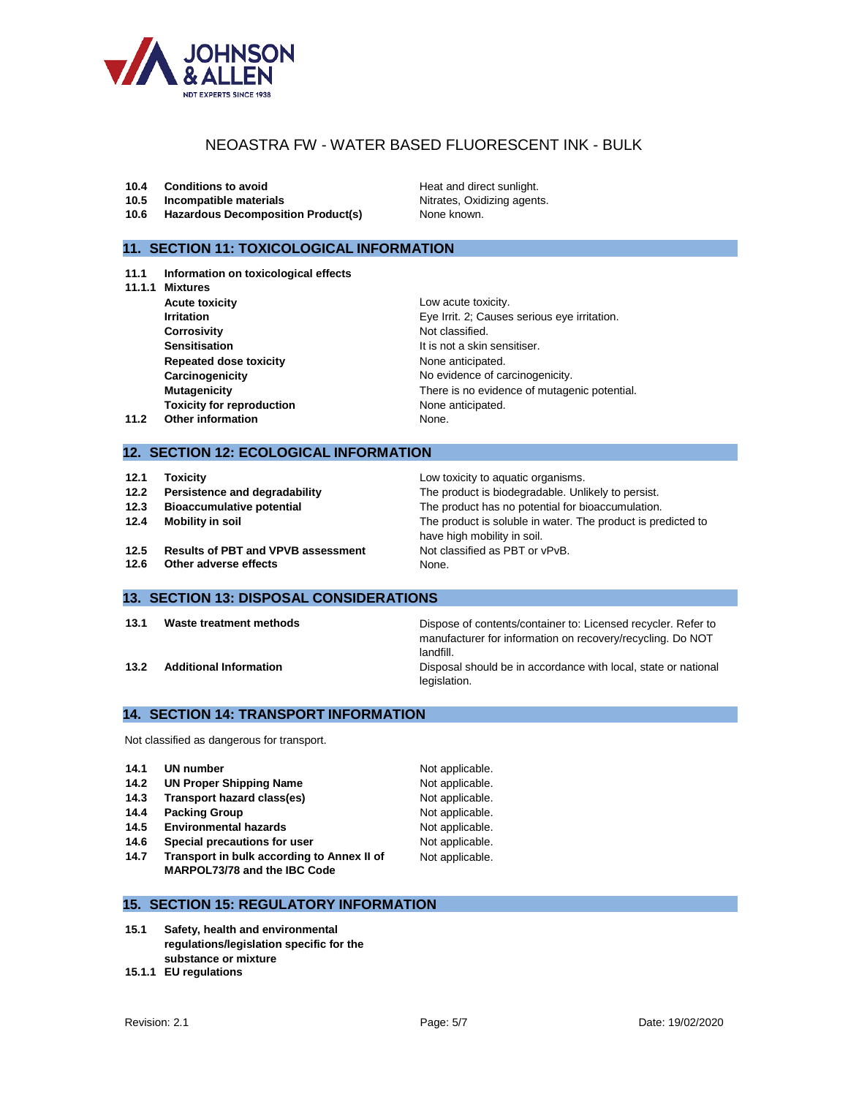

- **10.4 Conditions to avoid Heat and direct sunlight.**
- **10.5 Incompatible materials Nitrates**, Oxidizing agents.
- **10.6 Hazardous Decomposition Product(s)** None known.

# **11. SECTION 11: TOXICOLOGICAL INFORMATION**

- **11.1 Information on toxicological effects**
- **11.1.1 Mixtures**
- **Acute toxicity Low acute toxicity. Corrosivity** Not classified. **Sensitisation It is not a skin sensitiser. Repeated dose toxicity** None anticipated. **Toxicity for reproduction** None anticipated. **11.2** Other information None.

have high mobility in soil.

**Irritation Irritation** Eye Irrit. 2; Causes serious eye irritation. **Carcinogenicity Carcinogenicity No evidence of carcinogenicity. Mutagenicity** There is no evidence of mutagenic potential.

# **12. SECTION 12: ECOLOGICAL INFORMATION**

- **12.1 Toxicity 12.1 Toxicity 12.1 Low toxicity to aquatic organisms.**
- **12.2 Persistence and degradability** The product is biodegradable. Unlikely to persist.
- **12.3 Bioaccumulative potential** The product has no potential for bioaccumulation.
- **12.4 Mobility in soil The product is soluble in water. The product is predicted to**
- 12.5 **Results of PBT and VPVB assessment** Not classified as PBT or vPvB.
- **12.6 Other adverse effects** None.

# **13. SECTION 13: DISPOSAL CONSIDERATIONS**

**13.1 Waste treatment methods** Dispose of contents/container to: Licensed recycler. Refer to manufacturer for information on recovery/recycling. Do NOT landfill.

**13.2 Additional Information Disposal should be in accordance with local, state or national** legislation.

**14. SECTION 14: TRANSPORT INFORMATION**

Not classified as dangerous for transport.

| UN number<br>14.1 |  |
|-------------------|--|
|-------------------|--|

- **14.2 UN Proper Shipping Name** Not applicable.
- **14.3 Transport hazard class(es)** Not applicable.
- **14.4 Packing Group Not applicable.**
- **14.5 Environmental hazards** Not applicable.
- **14.6 Special precautions for user** Not applicable.
- **14.7 Transport in bulk according to Annex II of MARPOL73/78 and the IBC Code**

# **15. SECTION 15: REGULATORY INFORMATION**

- **15.1 Safety, health and environmental regulations/legislation specific for the substance or mixture**
- **15.1.1 EU regulations**

**Not applicable.** 

Not applicable.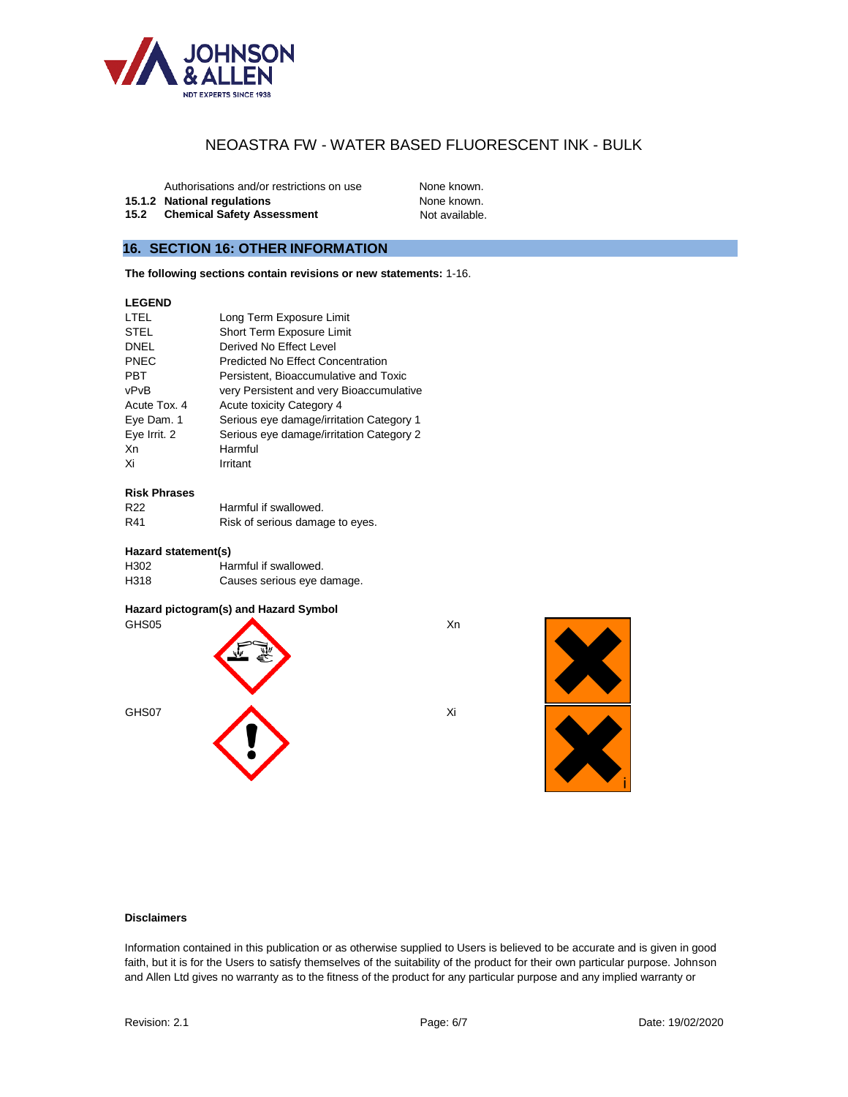

Authorisations and/or restrictions on use None known.

**15.1.2 National regulations** None known.

**15.2 Chemical Safety Assessment** Not available.

# **16. SECTION 16: OTHER INFORMATION**

**The following sections contain revisions or new statements:** 1-16.

# **LEGEND**

| LTEL         | Long Term Exposure Limit                 |
|--------------|------------------------------------------|
| <b>STEL</b>  | Short Term Exposure Limit                |
| <b>DNEL</b>  | Derived No Effect Level                  |
| <b>PNEC</b>  | <b>Predicted No Effect Concentration</b> |
| <b>PBT</b>   | Persistent, Bioaccumulative and Toxic    |
| vPvB         | very Persistent and very Bioaccumulative |
| Acute Tox. 4 | Acute toxicity Category 4                |
| Eye Dam. 1   | Serious eye damage/irritation Category 1 |
| Eye Irrit. 2 | Serious eye damage/irritation Category 2 |
| Xn           | Harmful                                  |
| Xi           | Irritant                                 |

#### **Risk Phrases**

| R <sub>22</sub> | Harmful if swallowed.           |
|-----------------|---------------------------------|
| R41             | Risk of serious damage to eyes. |

#### **Hazard statement(s)**

| H <sub>302</sub> | Harmful if swallowed.      |
|------------------|----------------------------|
| H318             | Causes serious eye damage. |

#### **Hazard pictogram(s) and Hazard Symbol**





### **Disclaimers**

Information contained in this publication or as otherwise supplied to Users is believed to be accurate and is given in good faith, but it is for the Users to satisfy themselves of the suitability of the product for their own particular purpose. Johnson and Allen Ltd gives no warranty as to the fitness of the product for any particular purpose and any implied warranty or